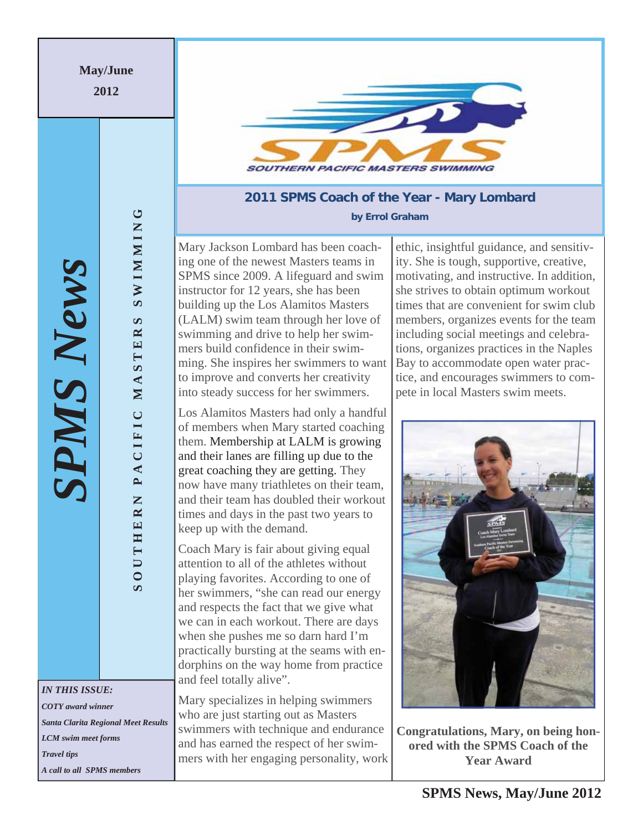**May/June** 

**2012** 

*SPMS News*

PMS News

**SOUTHERN PACIFIC MASTERS SWIMMING**

PACIFIC

SOUTHERN

MASTE

**SWIMMING** 

 $\mathbf{v}$  $\approx$ 

*IN THIS ISSUE: COTY award winner Santa Clarita Regional Meet Results LCM swim meet forms Travel tips A call to all SPMS members* 



## **2011 SPMS Coach of the Year - Mary Lombard by Errol Graham**

Mary Jackson Lombard has been coaching one of the newest Masters teams in SPMS since 2009. A lifeguard and swim instructor for 12 years, she has been building up the Los Alamitos Masters (LALM) swim team through her love of swimming and drive to help her swimmers build confidence in their swimming. She inspires her swimmers to want to improve and converts her creativity into steady success for her swimmers.

Los Alamitos Masters had only a handful of members when Mary started coaching them. Membership at LALM is growing and their lanes are filling up due to the great coaching they are getting. They now have many triathletes on their team, and their team has doubled their workout times and days in the past two years to keep up with the demand.

Coach Mary is fair about giving equal attention to all of the athletes without playing favorites. According to one of her swimmers, "she can read our energy and respects the fact that we give what we can in each workout. There are days when she pushes me so darn hard I'm practically bursting at the seams with endorphins on the way home from practice and feel totally alive".

Mary specializes in helping swimmers who are just starting out as Masters swimmers with technique and endurance and has earned the respect of her swimmers with her engaging personality, work

ethic, insightful guidance, and sensitivity. She is tough, supportive, creative, motivating, and instructive. In addition, she strives to obtain optimum workout times that are convenient for swim club members, organizes events for the team including social meetings and celebrations, organizes practices in the Naples Bay to accommodate open water practice, and encourages swimmers to compete in local Masters swim meets.



**Congratulations, Mary, on being honored with the SPMS Coach of the Year Award**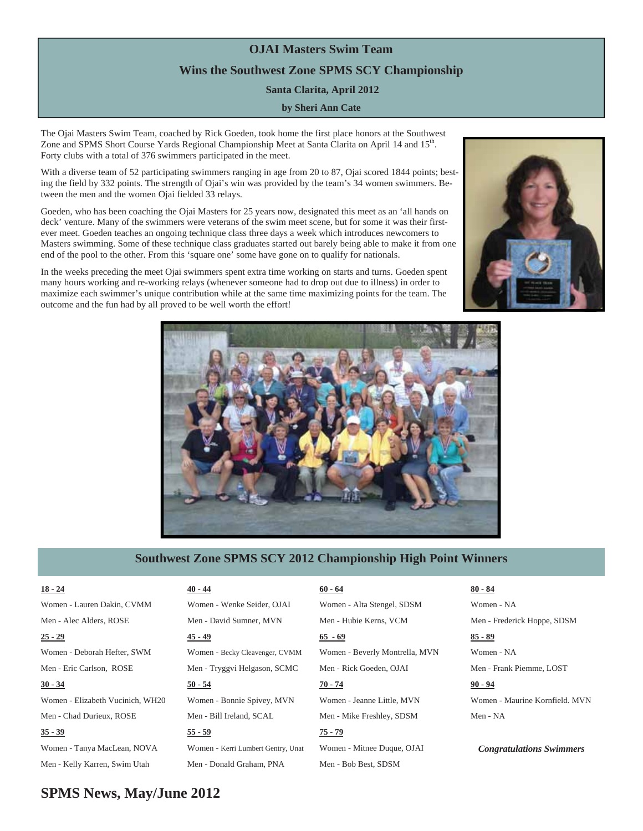# **OJAI Masters Swim Team Wins the Southwest Zone SPMS SCY Championship Santa Clarita, April 2012**

## **by Sheri Ann Cate**

The Ojai Masters Swim Team, coached by Rick Goeden, took home the first place honors at the Southwest Zone and SPMS Short Course Yards Regional Championship Meet at Santa Clarita on April 14 and 15<sup>th</sup>. Forty clubs with a total of 376 swimmers participated in the meet.

With a diverse team of 52 participating swimmers ranging in age from 20 to 87, Ojai scored 1844 points; besting the field by 332 points. The strength of Ojai's win was provided by the team's 34 women swimmers. Between the men and the women Ojai fielded 33 relays.

Goeden, who has been coaching the Ojai Masters for 25 years now, designated this meet as an 'all hands on deck' venture. Many of the swimmers were veterans of the swim meet scene, but for some it was their firstever meet. Goeden teaches an ongoing technique class three days a week which introduces newcomers to Masters swimming. Some of these technique class graduates started out barely being able to make it from one end of the pool to the other. From this 'square one' some have gone on to qualify for nationals.

In the weeks preceding the meet Ojai swimmers spent extra time working on starts and turns. Goeden spent many hours working and re-working relays (whenever someone had to drop out due to illness) in order to maximize each swimmer's unique contribution while at the same time maximizing points for the team. The outcome and the fun had by all proved to be well worth the effort!





## **Southwest Zone SPMS SCY 2012 Championship High Point Winners**

## **18 - 24**

**25 - 29**

Women - Lauren Dakin, CVMM

Men - Alec Alders, ROSE

- 
- Women Deborah Hefter, SWM Men - Eric Carlson, ROSE

#### **30 - 34**

Women - Elizabeth Vucinich, WH20 Men - Chad Durieux, ROSE

### **35 - 39**

Women - Tanya MacLean, NOVA Men - Kelly Karren, Swim Utah

## **40 - 44**

Women - Wenke Seider, OJAI Men - David Sumner, MVN

**45 - 49**

Women - Becky Cleavenger, CVMM Men - Tryggvi Helgason, SCMC

#### **50 - 54**

Women - Bonnie Spivey, MVN Men - Bill Ireland, SCAL

## **55 - 59**

Women - Kerri Lumbert Gentry, Unat Men - Donald Graham, PNA

## **60 - 64**

Women - Alta Stengel, SDSM Men - Hubie Kerns, VCM

## **65 - 69**

Women - Beverly Montrella, MVN Men - Rick Goeden, OJAI

#### **70 - 74**

Women - Jeanne Little, MVN Men - Mike Freshley, SDSM

## **75 - 79**

Women - Mitnee Duque, OJAI Men - Bob Best, SDSM

## **80 - 84**

Women - NA

## Men - Frederick Hoppe, SDSM

**85 - 89** Women - NA

Men - Frank Piemme, LOST

## **90 - 94**

Women - Maurine Kornfield. MVN Men - NA

*Congratulations Swimmers* 

## **SPMS News, May/June 2012**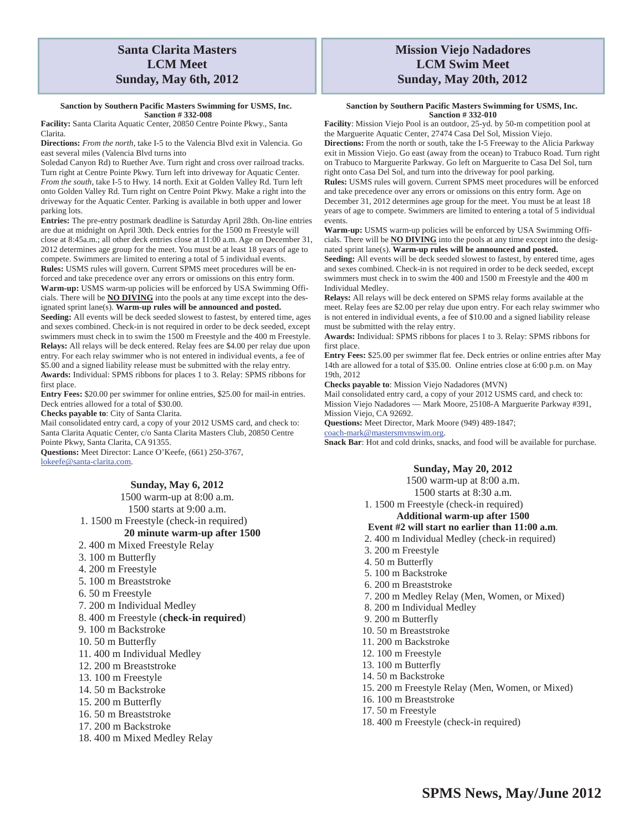#### **Sanction by Southern Pacific Masters Swimming for USMS, Inc. Sanction # 332-008**

**Facility:** Santa Clarita Aquatic Center, 20850 Centre Pointe Pkwy., Santa Clarita.

**Directions:** *From the north*, take I-5 to the Valencia Blvd exit in Valencia. Go east several miles (Valencia Blvd turns into

Soledad Canyon Rd) to Ruether Ave. Turn right and cross over railroad tracks. Turn right at Centre Pointe Pkwy. Turn left into driveway for Aquatic Center. *From the south*, take I-5 to Hwy. 14 north. Exit at Golden Valley Rd. Turn left onto Golden Valley Rd. Turn right on Centre Point Pkwy. Make a right into the driveway for the Aquatic Center. Parking is available in both upper and lower parking lots.

**Entries:** The pre-entry postmark deadline is Saturday April 28th. On-line entries are due at midnight on April 30th. Deck entries for the 1500 m Freestyle will close at 8:45a.m.; all other deck entries close at 11:00 a.m. Age on December 31, 2012 determines age group for the meet. You must be at least 18 years of age to compete. Swimmers are limited to entering a total of 5 individual events. **Rules:** USMS rules will govern. Current SPMS meet procedures will be en-

forced and take precedence over any errors or omissions on this entry form. **Warm-up:** USMS warm-up policies will be enforced by USA Swimming Officials. There will be **NO DIVING** into the pools at any time except into the designated sprint lane(s). **Warm-up rules will be announced and posted.** 

**Seeding:** All events will be deck seeded slowest to fastest, by entered time, ages and sexes combined. Check-in is not required in order to be deck seeded, except swimmers must check in to swim the 1500 m Freestyle and the 400 m Freestyle. **Relays:** All relays will be deck entered. Relay fees are \$4.00 per relay due upon entry. For each relay swimmer who is not entered in individual events, a fee of \$5.00 and a signed liability release must be submitted with the relay entry. **Awards:** Individual: SPMS ribbons for places 1 to 3. Relay: SPMS ribbons for first place.

**Entry Fees:** \$20.00 per swimmer for online entries, \$25.00 for mail-in entries. Deck entries allowed for a total of \$30.00.

**Checks payable to**: City of Santa Clarita.

Mail consolidated entry card, a copy of your 2012 USMS card, and check to: Santa Clarita Aquatic Center, c/o Santa Clarita Masters Club, 20850 Centre Pointe Pkwy, Santa Clarita, CA 91355.

**Questions:** Meet Director: Lance O'Keefe, (661) 250-3767, lokeefe@santa-clarita.com.

## **Sunday, May 6, 2012**

1500 warm-up at 8:00 a.m.

1500 starts at 9:00 a.m.

1. 1500 m Freestyle (check-in required)

#### **20 minute warm-up after 1500**

- 2. 400 m Mixed Freestyle Relay
- 3. 100 m Butterfly
- 4. 200 m Freestyle
- 5. 100 m Breaststroke
- 6. 50 m Freestyle
- 7. 200 m Individual Medley
- 8. 400 m Freestyle (**check-in required**)
- 9. 100 m Backstroke
- 10. 50 m Butterfly
- 11. 400 m Individual Medley
- 12. 200 m Breaststroke
- 13. 100 m Freestyle
- 14. 50 m Backstroke
- 15. 200 m Butterfly
- 16. 50 m Breaststroke
- 17. 200 m Backstroke
- 18. 400 m Mixed Medley Relay

## **Mission Viejo Nadadores LCM Swim Meet Sunday, May 20th, 2012**

#### **Sanction by Southern Pacific Masters Swimming for USMS, Inc. Sanction # 332-010**

**Facility**: Mission Viejo Pool is an outdoor, 25-yd. by 50-m competition pool at the Marguerite Aquatic Center, 27474 Casa Del Sol, Mission Viejo.

**Directions:** From the north or south, take the I-5 Freeway to the Alicia Parkway exit in Mission Viejo. Go east (away from the ocean) to Trabuco Road. Turn right on Trabuco to Marguerite Parkway. Go left on Marguerite to Casa Del Sol, turn right onto Casa Del Sol, and turn into the driveway for pool parking.

**Rules:** USMS rules will govern. Current SPMS meet procedures will be enforced and take precedence over any errors or omissions on this entry form. Age on December 31, 2012 determines age group for the meet. You must be at least 18 years of age to compete. Swimmers are limited to entering a total of 5 individual events.

**Warm-up:** USMS warm-up policies will be enforced by USA Swimming Officials. There will be **NO DIVING** into the pools at any time except into the designated sprint lane(s). **Warm-up rules will be announced and posted.** 

**Seeding:** All events will be deck seeded slowest to fastest, by entered time, ages and sexes combined. Check-in is not required in order to be deck seeded, except swimmers must check in to swim the 400 and 1500 m Freestyle and the 400 m Individual Medley.

**Relays:** All relays will be deck entered on SPMS relay forms available at the meet. Relay fees are \$2.00 per relay due upon entry. For each relay swimmer who is not entered in individual events, a fee of \$10.00 and a signed liability release must be submitted with the relay entry.

**Awards:** Individual: SPMS ribbons for places 1 to 3. Relay: SPMS ribbons for first place.

**Entry Fees:** \$25.00 per swimmer flat fee. Deck entries or online entries after May 14th are allowed for a total of \$35.00. Online entries close at 6:00 p.m. on May 19th, 2012

**Checks payable to**: Mission Viejo Nadadores (MVN)

Mail consolidated entry card, a copy of your 2012 USMS card, and check to: Mission Viejo Nadadores — Mark Moore, 25108-A Marguerite Parkway #391, Mission Viejo, CA 92692.

**Questions:** Meet Director, Mark Moore (949) 489-1847;

coach-mark@mastersmvnswim.org.

**Snack Bar**: Hot and cold drinks, snacks, and food will be available for purchase.

#### **Sunday, May 20, 2012**

1500 warm-up at 8:00 a.m.

1500 starts at 8:30 a.m.

1. 1500 m Freestyle (check-in required)

## **Additional warm-up after 1500**

- **Event #2 will start no earlier than 11:00 a.m**.
- 2. 400 m Individual Medley (check-in required)
- 3. 200 m Freestyle
- 4. 50 m Butterfly
- 5. 100 m Backstroke
- 6. 200 m Breaststroke
- 7. 200 m Medley Relay (Men, Women, or Mixed)
- 8. 200 m Individual Medley
- 9. 200 m Butterfly
- 10. 50 m Breaststroke
- 11. 200 m Backstroke
- 12. 100 m Freestyle
- 13. 100 m Butterfly
- 14. 50 m Backstroke
- 15. 200 m Freestyle Relay (Men, Women, or Mixed)
- 16. 100 m Breaststroke
- 17. 50 m Freestyle
- 18. 400 m Freestyle (check-in required)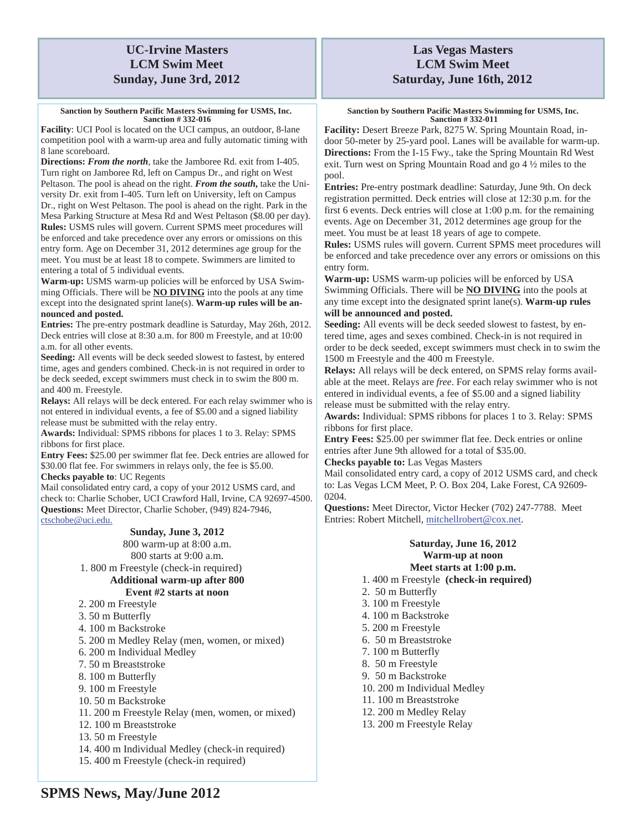## **UC-Irvine Masters LCM Swim Meet Sunday, June 3rd, 2012**

**Sanction by Southern Pacific Masters Swimming for USMS, Inc. Sanction # 332-016** 

**Facility**: UCI Pool is located on the UCI campus, an outdoor, 8-lane competition pool with a warm-up area and fully automatic timing with 8 lane scoreboard.

**Directions:** *From the north*, take the Jamboree Rd. exit from I-405. Turn right on Jamboree Rd, left on Campus Dr., and right on West Peltason. The pool is ahead on the right. *From the south***,** take the University Dr. exit from I-405. Turn left on University, left on Campus Dr., right on West Peltason. The pool is ahead on the right. Park in the Mesa Parking Structure at Mesa Rd and West Peltason (\$8.00 per day). **Rules:** USMS rules will govern. Current SPMS meet procedures will be enforced and take precedence over any errors or omissions on this entry form. Age on December 31, 2012 determines age group for the meet. You must be at least 18 to compete. Swimmers are limited to entering a total of 5 individual events.

**Warm-up:** USMS warm-up policies will be enforced by USA Swimming Officials. There will be **NO DIVING** into the pools at any time except into the designated sprint lane(s). **Warm-up rules will be announced and posted.** 

**Entries:** The pre-entry postmark deadline is Saturday, May 26th, 2012. Deck entries will close at 8:30 a.m. for 800 m Freestyle, and at 10:00 a.m. for all other events.

**Seeding:** All events will be deck seeded slowest to fastest, by entered time, ages and genders combined. Check-in is not required in order to be deck seeded, except swimmers must check in to swim the 800 m. and 400 m. Freestyle.

**Relays:** All relays will be deck entered. For each relay swimmer who is not entered in individual events, a fee of \$5.00 and a signed liability release must be submitted with the relay entry.

**Awards:** Individual: SPMS ribbons for places 1 to 3. Relay: SPMS ribbons for first place.

**Entry Fees:** \$25.00 per swimmer flat fee. Deck entries are allowed for \$30.00 flat fee. For swimmers in relays only, the fee is \$5.00.

**Checks payable to**: UC Regents

Mail consolidated entry card, a copy of your 2012 USMS card, and check to: Charlie Schober, UCI Crawford Hall, Irvine, CA 92697-4500. **Questions:** Meet Director, Charlie Schober, (949) 824-7946, ctschobe@uci.edu.

## **Sunday, June 3, 2012**

800 warm-up at 8:00 a.m. 800 starts at 9:00 a.m. 1. 800 m Freestyle (check-in required) **Additional warm-up after 800 Event #2 starts at noon** 

- 2. 200 m Freestyle
- 3. 50 m Butterfly
- 4. 100 m Backstroke
- 5. 200 m Medley Relay (men, women, or mixed)
- 6. 200 m Individual Medley
- 7. 50 m Breaststroke
- 8. 100 m Butterfly
- 9. 100 m Freestyle
- 10. 50 m Backstroke
- 11. 200 m Freestyle Relay (men, women, or mixed)
- 12. 100 m Breaststroke
- 13. 50 m Freestyle
- 14. 400 m Individual Medley (check-in required)
- 15. 400 m Freestyle (check-in required)

## **Las Vegas Masters LCM Swim Meet Saturday, June 16th, 2012**

**Sanction by Southern Pacific Masters Swimming for USMS, Inc. Sanction # 332-011** 

**Facility:** Desert Breeze Park, 8275 W. Spring Mountain Road, indoor 50-meter by 25-yard pool. Lanes will be available for warm-up. **Directions:** From the I-15 Fwy., take the Spring Mountain Rd West exit. Turn west on Spring Mountain Road and go 4 ½ miles to the pool.

**Entries:** Pre-entry postmark deadline: Saturday, June 9th. On deck registration permitted. Deck entries will close at 12:30 p.m. for the first 6 events. Deck entries will close at 1:00 p.m. for the remaining events. Age on December 31, 2012 determines age group for the meet. You must be at least 18 years of age to compete.

**Rules:** USMS rules will govern. Current SPMS meet procedures will be enforced and take precedence over any errors or omissions on this entry form.

**Warm-up:** USMS warm-up policies will be enforced by USA Swimming Officials. There will be **NO DIVING** into the pools at any time except into the designated sprint lane(s). **Warm-up rules will be announced and posted.** 

**Seeding:** All events will be deck seeded slowest to fastest, by entered time, ages and sexes combined. Check-in is not required in order to be deck seeded, except swimmers must check in to swim the 1500 m Freestyle and the 400 m Freestyle.

**Relays:** All relays will be deck entered, on SPMS relay forms available at the meet. Relays are *free*. For each relay swimmer who is not entered in individual events, a fee of \$5.00 and a signed liability release must be submitted with the relay entry.

**Awards:** Individual: SPMS ribbons for places 1 to 3. Relay: SPMS ribbons for first place.

**Entry Fees:** \$25.00 per swimmer flat fee. Deck entries or online entries after June 9th allowed for a total of \$35.00.

**Checks payable to:** Las Vegas Masters

Mail consolidated entry card, a copy of 2012 USMS card, and check to: Las Vegas LCM Meet, P. O. Box 204, Lake Forest, CA 92609- 0204.

**Questions:** Meet Director, Victor Hecker (702) 247-7788. Meet Entries: Robert Mitchell, mitchellrobert@cox.net.

### **Saturday, June 16, 2012 Warm-up at noon Meet starts at 1:00 p.m.**

### 1. 400 m Freestyle **(check-in required)**

- 2. 50 m Butterfly
- 3. 100 m Freestyle
- 4. 100 m Backstroke
- 5. 200 m Freestyle
- 6. 50 m Breaststroke
- 7. 100 m Butterfly
- 8. 50 m Freestyle
- 9. 50 m Backstroke
- 10. 200 m Individual Medley
- 11. 100 m Breaststroke
- 12. 200 m Medley Relay
- 13. 200 m Freestyle Relay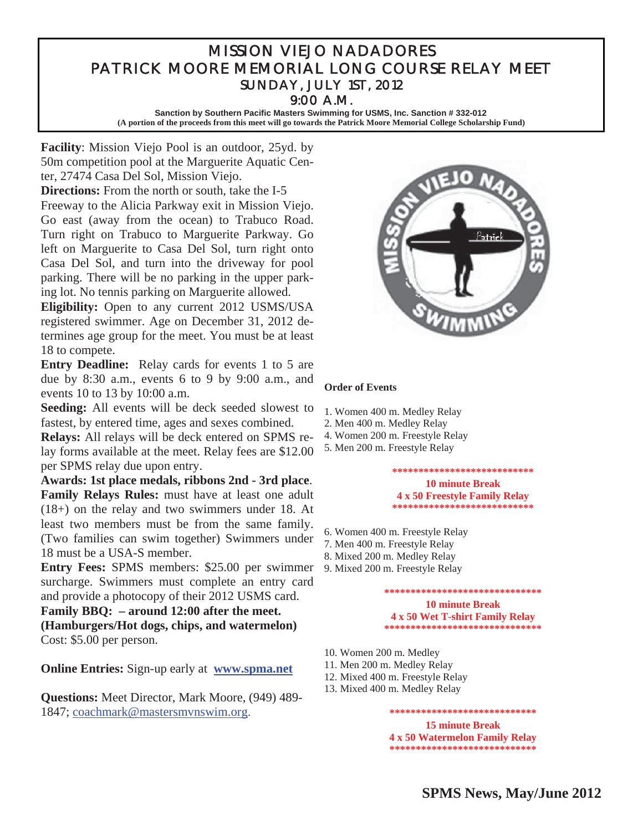## MISSION VIEJO NADADORES PATRICK MOORE MEMORIAL LONG COURSE RELAY MEET SUNDAY, JULY 1ST, 2012 9:00 A.M.

**Sanction by Southern Pacific Masters Swimming for USMS, Inc. Sanction # 332-012 (A portion of the proceeds from this meet will go towards the Patrick Moore Memorial College Scholarship Fund)** 

**Facility**: Mission Viejo Pool is an outdoor, 25yd. by 50m competition pool at the Marguerite Aquatic Center, 27474 Casa Del Sol, Mission Viejo.

**Directions:** From the north or south, take the I-5 Freeway to the Alicia Parkway exit in Mission Viejo. Go east (away from the ocean) to Trabuco Road. Turn right on Trabuco to Marguerite Parkway. Go left on Marguerite to Casa Del Sol, turn right onto Casa Del Sol, and turn into the driveway for pool parking. There will be no parking in the upper parking lot. No tennis parking on Marguerite allowed.

**Eligibility:** Open to any current 2012 USMS/USA registered swimmer. Age on December 31, 2012 determines age group for the meet. You must be at least 18 to compete.

**Entry Deadline:** Relay cards for events 1 to 5 are due by 8:30 a.m., events 6 to 9 by 9:00 a.m., and events 10 to 13 by 10:00 a.m.

**Seeding:** All events will be deck seeded slowest to fastest, by entered time, ages and sexes combined.

**Relays:** All relays will be deck entered on SPMS relay forms available at the meet. Relay fees are \$12.00 per SPMS relay due upon entry.

**Awards: 1st place medals, ribbons 2nd - 3rd place**. **Family Relays Rules:** must have at least one adult (18+) on the relay and two swimmers under 18. At least two members must be from the same family. (Two families can swim together) Swimmers under 18 must be a USA-S member.

**Entry Fees:** SPMS members: \$25.00 per swimmer surcharge. Swimmers must complete an entry card and provide a photocopy of their 2012 USMS card.

**Family BBQ: – around 12:00 after the meet. (Hamburgers/Hot dogs, chips, and watermelon)** Cost: \$5.00 per person.

**Online Entries:** Sign-up early at **www.spma.net** 

**Questions:** Meet Director, Mark Moore, (949) 489- 1847; coachmark@mastersmvnswim.org.



## **Order of Events**

- 1. Women 400 m. Medley Relay
- 2. Men 400 m. Medley Relay
- 4. Women 200 m. Freestyle Relay
- 5. Men 200 m. Freestyle Relay

**\*\*\*\*\*\*\*\*\*\*\*\*\*\*\*\*\*\*\*\*\*\*\*\*\*\*\* 10 minute Break 4 x 50 Freestyle Family Relay \*\*\*\*\*\*\*\*\*\*\*\*\*\*\*\*\*\*\*\*\*\*\*\*\*\*\*** 

- 6. Women 400 m. Freestyle Relay
- 7. Men 400 m. Freestyle Relay
- 8. Mixed 200 m. Medley Relay
- 9. Mixed 200 m. Freestyle Relay

**\*\*\*\*\*\*\*\*\*\*\*\*\*\*\*\*\*\*\*\*\*\*\*\*\*\*\*\*\*\* 10 minute Break 4 x 50 Wet T-shirt Family Relay \*\*\*\*\*\*\*\*\*\*\*\*\*\*\*\*\*\*\*\*\*\*\*\*\*\*\*\*\*\*** 

- 10. Women 200 m. Medley
- 11. Men 200 m. Medley Relay
- 12. Mixed 400 m. Freestyle Relay
- 13. Mixed 400 m. Medley Relay

**\*\*\*\*\*\*\*\*\*\*\*\*\*\*\*\*\*\*\*\*\*\*\*\*\*\*\*\* 15 minute Break 4 x 50 Watermelon Family Relay \*\*\*\*\*\*\*\*\*\*\*\*\*\*\*\*\*\*\*\*\*\*\*\*\*\*\*\***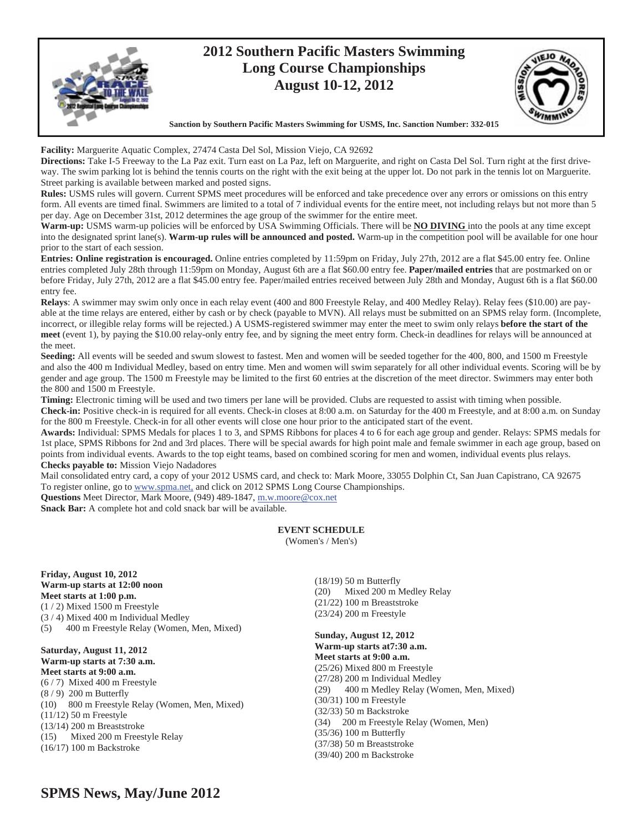

**Facility:** Marguerite Aquatic Complex, 27474 Casta Del Sol, Mission Viejo, CA 92692

**Directions:** Take I-5 Freeway to the La Paz exit. Turn east on La Paz, left on Marguerite, and right on Casta Del Sol. Turn right at the first driveway. The swim parking lot is behind the tennis courts on the right with the exit being at the upper lot. Do not park in the tennis lot on Marguerite. Street parking is available between marked and posted signs.

**Rules:** USMS rules will govern. Current SPMS meet procedures will be enforced and take precedence over any errors or omissions on this entry form. All events are timed final. Swimmers are limited to a total of 7 individual events for the entire meet, not including relays but not more than 5 per day. Age on December 31st, 2012 determines the age group of the swimmer for the entire meet.

**Warm-up:** USMS warm-up policies will be enforced by USA Swimming Officials. There will be **NO DIVING** into the pools at any time except into the designated sprint lane(s). **Warm-up rules will be announced and posted.** Warm-up in the competition pool will be available for one hour prior to the start of each session.

**Entries: Online registration is encouraged.** Online entries completed by 11:59pm on Friday, July 27th, 2012 are a flat \$45.00 entry fee. Online entries completed July 28th through 11:59pm on Monday, August 6th are a flat \$60.00 entry fee. **Paper/mailed entries** that are postmarked on or before Friday, July 27th, 2012 are a flat \$45.00 entry fee. Paper/mailed entries received between July 28th and Monday, August 6th is a flat \$60.00 entry fee.

**Relays**: A swimmer may swim only once in each relay event (400 and 800 Freestyle Relay, and 400 Medley Relay). Relay fees (\$10.00) are payable at the time relays are entered, either by cash or by check (payable to MVN). All relays must be submitted on an SPMS relay form. (Incomplete, incorrect, or illegible relay forms will be rejected.) A USMS-registered swimmer may enter the meet to swim only relays **before the start of the meet** (event 1), by paying the \$10.00 relay-only entry fee, and by signing the meet entry form. Check-in deadlines for relays will be announced at the meet.

**Seeding:** All events will be seeded and swum slowest to fastest. Men and women will be seeded together for the 400, 800, and 1500 m Freestyle and also the 400 m Individual Medley, based on entry time. Men and women will swim separately for all other individual events. Scoring will be by gender and age group. The 1500 m Freestyle may be limited to the first 60 entries at the discretion of the meet director. Swimmers may enter both the 800 and 1500 m Freestyle.

**Timing:** Electronic timing will be used and two timers per lane will be provided. Clubs are requested to assist with timing when possible.

**Check-in:** Positive check-in is required for all events. Check-in closes at 8:00 a.m. on Saturday for the 400 m Freestyle, and at 8:00 a.m. on Sunday for the 800 m Freestyle. Check-in for all other events will close one hour prior to the anticipated start of the event.

**Awards:** Individual: SPMS Medals for places 1 to 3, and SPMS Ribbons for places 4 to 6 for each age group and gender. Relays: SPMS medals for 1st place, SPMS Ribbons for 2nd and 3rd places. There will be special awards for high point male and female swimmer in each age group, based on points from individual events. Awards to the top eight teams, based on combined scoring for men and women, individual events plus relays. **Checks payable to:** Mission Viejo Nadadores

Mail consolidated entry card, a copy of your 2012 USMS card, and check to: Mark Moore, 33055 Dolphin Ct, San Juan Capistrano, CA 92675 To register online, go to www.spma.net, and click on 2012 SPMS Long Course Championships.

**Questions** Meet Director, Mark Moore, (949) 489-1847, m.w.moore@cox.net

**Snack Bar:** A complete hot and cold snack bar will be available.

## **EVENT SCHEDULE**

(Women's / Men's)

**Friday, August 10, 2012 Warm-up starts at 12:00 noon Meet starts at 1:00 p.m.** (1 / 2) Mixed 1500 m Freestyle (3 / 4) Mixed 400 m Individual Medley (5) 400 m Freestyle Relay (Women, Men, Mixed)

**Saturday, August 11, 2012 Warm-up starts at 7:30 a.m. Meet starts at 9:00 a.m.**  (6 / 7) Mixed 400 m Freestyle (8 / 9) 200 m Butterfly (10) 800 m Freestyle Relay (Women, Men, Mixed) (11/12) 50 m Freestyle (13/14) 200 m Breaststroke (15) Mixed 200 m Freestyle Relay (16/17) 100 m Backstroke

(18/19) 50 m Butterfly (20) Mixed 200 m Medley Relay (21/22) 100 m Breaststroke (23/24) 200 m Freestyle

**Sunday, August 12, 2012 Warm-up starts at7:30 a.m. Meet starts at 9:00 a.m.**  (25/26) Mixed 800 m Freestyle (27/28) 200 m Individual Medley (29) 400 m Medley Relay (Women, Men, Mixed) (30/31) 100 m Freestyle (32/33) 50 m Backstroke (34) 200 m Freestyle Relay (Women, Men) (35/36) 100 m Butterfly (37/38) 50 m Breaststroke (39/40) 200 m Backstroke

## **SPMS News, May/June 2012**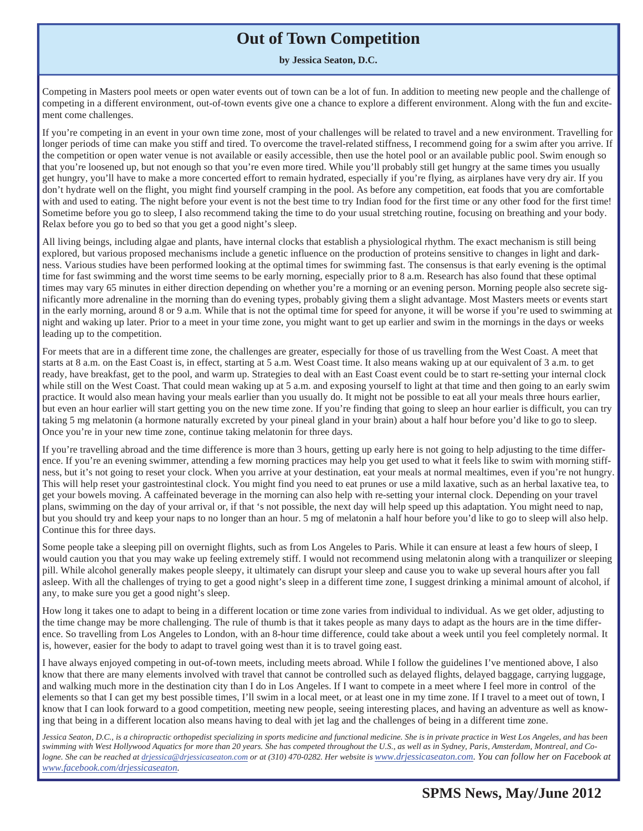# **Out of Town Competition**

**by Jessica Seaton, D.C.** 

Competing in Masters pool meets or open water events out of town can be a lot of fun. In addition to meeting new people and the challenge of competing in a different environment, out-of-town events give one a chance to explore a different environment. Along with the fun and excitement come challenges.

If you're competing in an event in your own time zone, most of your challenges will be related to travel and a new environment. Travelling for longer periods of time can make you stiff and tired. To overcome the travel-related stiffness, I recommend going for a swim after you arrive. If the competition or open water venue is not available or easily accessible, then use the hotel pool or an available public pool. Swim enough so that you're loosened up, but not enough so that you're even more tired. While you'll probably still get hungry at the same times you usually get hungry, you'll have to make a more concerted effort to remain hydrated, especially if you're flying, as airplanes have very dry air. If you don't hydrate well on the flight, you might find yourself cramping in the pool. As before any competition, eat foods that you are comfortable with and used to eating. The night before your event is not the best time to try Indian food for the first time or any other food for the first time! Sometime before you go to sleep, I also recommend taking the time to do your usual stretching routine, focusing on breathing and your body. Relax before you go to bed so that you get a good night's sleep.

All living beings, including algae and plants, have internal clocks that establish a physiological rhythm. The exact mechanism is still being explored, but various proposed mechanisms include a genetic influence on the production of proteins sensitive to changes in light and darkness. Various studies have been performed looking at the optimal times for swimming fast. The consensus is that early evening is the optimal time for fast swimming and the worst time seems to be early morning, especially prior to 8 a.m. Research has also found that these optimal times may vary 65 minutes in either direction depending on whether you're a morning or an evening person. Morning people also secrete significantly more adrenaline in the morning than do evening types, probably giving them a slight advantage. Most Masters meets or events start in the early morning, around 8 or 9 a.m. While that is not the optimal time for speed for anyone, it will be worse if you're used to swimming at night and waking up later. Prior to a meet in your time zone, you might want to get up earlier and swim in the mornings in the days or weeks leading up to the competition.

For meets that are in a different time zone, the challenges are greater, especially for those of us travelling from the West Coast. A meet that starts at 8 a.m. on the East Coast is, in effect, starting at 5 a.m. West Coast time. It also means waking up at our equivalent of 3 a.m. to get ready, have breakfast, get to the pool, and warm up. Strategies to deal with an East Coast event could be to start re-setting your internal clock while still on the West Coast. That could mean waking up at 5 a.m. and exposing yourself to light at that time and then going to an early swim practice. It would also mean having your meals earlier than you usually do. It might not be possible to eat all your meals three hours earlier, but even an hour earlier will start getting you on the new time zone. If you're finding that going to sleep an hour earlier is difficult, you can try taking 5 mg melatonin (a hormone naturally excreted by your pineal gland in your brain) about a half hour before you'd like to go to sleep. Once you're in your new time zone, continue taking melatonin for three days.

If you're travelling abroad and the time difference is more than 3 hours, getting up early here is not going to help adjusting to the time difference. If you're an evening swimmer, attending a few morning practices may help you get used to what it feels like to swim with morning stiffness, but it's not going to reset your clock. When you arrive at your destination, eat your meals at normal mealtimes, even if you're not hungry. This will help reset your gastrointestinal clock. You might find you need to eat prunes or use a mild laxative, such as an herbal laxative tea, to get your bowels moving. A caffeinated beverage in the morning can also help with re-setting your internal clock. Depending on your travel plans, swimming on the day of your arrival or, if that 's not possible, the next day will help speed up this adaptation. You might need to nap, but you should try and keep your naps to no longer than an hour. 5 mg of melatonin a half hour before you'd like to go to sleep will also help. Continue this for three days.

Some people take a sleeping pill on overnight flights, such as from Los Angeles to Paris. While it can ensure at least a few hours of sleep, I would caution you that you may wake up feeling extremely stiff. I would not recommend using melatonin along with a tranquilizer or sleeping pill. While alcohol generally makes people sleepy, it ultimately can disrupt your sleep and cause you to wake up several hours after you fall asleep. With all the challenges of trying to get a good night's sleep in a different time zone, I suggest drinking a minimal amount of alcohol, if any, to make sure you get a good night's sleep.

How long it takes one to adapt to being in a different location or time zone varies from individual to individual. As we get older, adjusting to the time change may be more challenging. The rule of thumb is that it takes people as many days to adapt as the hours are in the time difference. So travelling from Los Angeles to London, with an 8-hour time difference, could take about a week until you feel completely normal. It is, however, easier for the body to adapt to travel going west than it is to travel going east.

I have always enjoyed competing in out-of-town meets, including meets abroad. While I follow the guidelines I've mentioned above, I also know that there are many elements involved with travel that cannot be controlled such as delayed flights, delayed baggage, carrying luggage, and walking much more in the destination city than I do in Los Angeles. If I want to compete in a meet where I feel more in control of the elements so that I can get my best possible times, I'll swim in a local meet, or at least one in my time zone. If I travel to a meet out of town, I know that I can look forward to a good competition, meeting new people, seeing interesting places, and having an adventure as well as knowing that being in a different location also means having to deal with jet lag and the challenges of being in a different time zone.

*Jessica Seaton, D.C., is a chiropractic orthopedist specializing in sports medicine and functional medicine. She is in private practice in West Los Angeles, and has been swimming with West Hollywood Aquatics for more than 20 years. She has competed throughout the U.S., as well as in Sydney, Paris, Amsterdam, Montreal, and Cologne. She can be reached at drjessica@drjessicaseaton.com or at (310) 470-0282. Her website is www.drjessicaseaton.com. You can follow her on Facebook at www.facebook.com/drjessicaseaton.*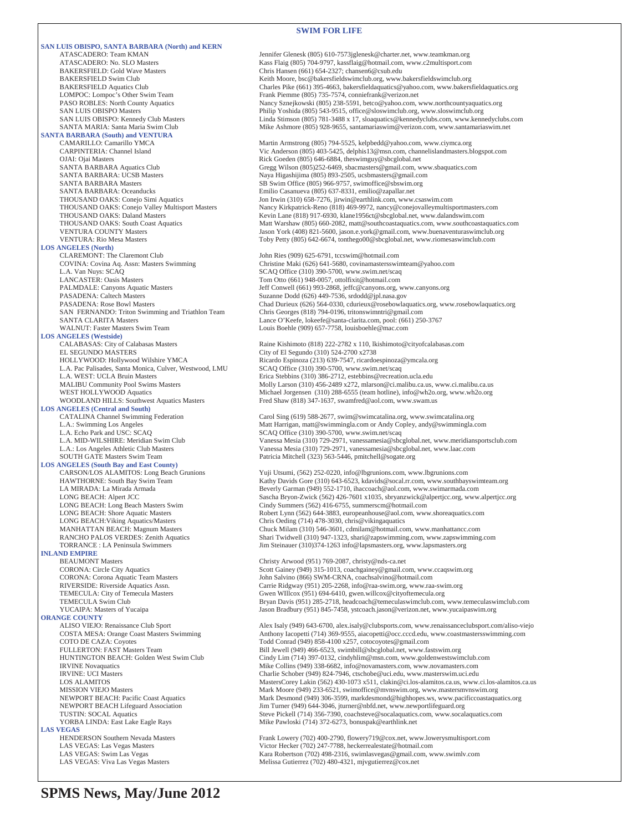### **SWIM FOR LIFE**

|                                                                                          | SWIM FOR LIFE                                                                                                                                                                |
|------------------------------------------------------------------------------------------|------------------------------------------------------------------------------------------------------------------------------------------------------------------------------|
| <b>SAN LUIS OBISPO, SANTA BARBARA (North) and KERN</b>                                   |                                                                                                                                                                              |
| ATASCADERO: Team KMAN                                                                    | Jennifer Glenesk (805) 610-7573jglenesk@charter.net, www.teamkman.org                                                                                                        |
| ATASCADERO: No. SLO Masters<br><b>BAKERSFIELD: Gold Wave Masters</b>                     | Kass Flaig (805) 704-9797, kassflaig@hotmail.com, www.c2multisport.com<br>Chris Hansen (661) 654-2327; chansen6@csub.edu                                                     |
| <b>BAKERSFIELD Swim Club</b>                                                             | Keith Moore, bsc@bakersfieldswimclub.org, www.bakersfieldswimclub.org                                                                                                        |
| <b>BAKERSFIELD Aquatics Club</b>                                                         | Charles Pike (661) 395-4663, bakersfieldaquatics@yahoo.com, www.bakersfieldaquatics.org                                                                                      |
| LOMPOC: Lompoc's Other Swim Team                                                         | Frank Piemme (805) 735-7574, conniefrank@verizon.net                                                                                                                         |
| PASO ROBLES: North County Aquatics<br><b>SAN LUIS OBISPO Masters</b>                     | Nancy Sznejkowski (805) 238-5591, betco@yahoo.com, www.northcountyaquatics.org<br>Philip Yoshida (805) 543-9515, office@sloswimclub.org, www.sloswimclub.org                 |
| SAN LUIS OBISPO: Kennedy Club Masters                                                    | Linda Stimson (805) 781-3488 x 17, sloaguatics@kennedyclubs.com, www.kennedyclubs.com                                                                                        |
| SANTA MARIA: Santa Maria Swim Club                                                       | Mike Ashmore $(805)$ 928-9655, santamariaswim@verizon.com, www.santamariaswim.net                                                                                            |
| <b>SANTA BARBARA (South) and VENTURA</b>                                                 |                                                                                                                                                                              |
| CAMARILLO: Camarillo YMCA<br>CARPINTERIA: Channel Island                                 | Martin Armstrong (805) 794-5525, kelpbedd@yahoo.com, www.ciymca.org<br>Vic Anderson (805) 403-5425, delphis13@msn.com, channelislandmasters.blogspot.com                     |
| OJAI: Ojai Masters                                                                       | Rick Goeden (805) 646-6884, theswimguy@sbcglobal.net                                                                                                                         |
| SANTA BARBARA Aquatics Club                                                              | Gregg Wilson (805)252-6469, sbacmasters@gmail.com, www.sbaquatics.com                                                                                                        |
| SANTA BARBARA: UCSB Masters<br><b>SANTA BARBARA Masters</b>                              | Naya Higashijima (805) 893-2505, ucsbmasters@gmail.com                                                                                                                       |
| <b>SANTA BARBARA: Oceanducks</b>                                                         | SB Swim Office (805) 966-9757, swimoffice@sbswim.org<br>Emilio Casanueva (805) 637-8331, emilio@zapallar.net                                                                 |
| THOUSAND OAKS: Conejo Simi Aquatics                                                      | Jon Irwin (310) 658-7276, jirwin@earthlink.com, www.csaswim.com                                                                                                              |
| THOUSAND OAKS: Conejo Valley Multisport Masters                                          | Nancy Kirkpatrick-Reno (818) 469-9972, nancy@conejovalleymultisportmasters.com                                                                                               |
| THOUSAND OAKS: Daland Masters<br>THOUSAND OAKS: South Coast Aquatics                     | Kevin Lane (818) 917-6930, klane1956ct@sbcglobal.net, www.dalandswim.com<br>Matt Warshaw (805) 660-2082, matt@southcoastaquatics.com, www.southcoastaquatics.com             |
| <b>VENTURA COUNTY Masters</b>                                                            | Jason York (408) 821-5600, jason.e.york@gmail.com, www.buenaventuraswimclub.org                                                                                              |
| <b>VENTURA: Rio Mesa Masters</b>                                                         | Toby Petty (805) 642-6674, tonthego00@sbcglobal.net, www.riomesaswimclub.com                                                                                                 |
| <b>LOS ANGELES (North)</b>                                                               |                                                                                                                                                                              |
| CLAREMONT: The Claremont Club<br>COVINA: Covina Aq. Assn: Masters Swimming               | John Ries (909) 625-6791, tccswim@hotmail.com<br>Christine Maki (626) 641-5680, covinamastersswimteam@yahoo.com                                                              |
| L.A. Van Nuys: SCAQ                                                                      | SCAQ Office (310) 390-5700, www.swim.net/scaq                                                                                                                                |
| LANCASTER: Oasis Masters                                                                 | Tom Otto (661) 948-0057, ottolfixit@hotmail.com                                                                                                                              |
| PALMDALE: Canyons Aquatic Masters                                                        | Jeff Conwell (661) 993-2868, jeffc@canyons.org, www.canyons.org                                                                                                              |
| PASADENA: Caltech Masters<br><b>PASADENA: Rose Bowl Masters</b>                          | Suzanne Dodd (626) 449-7536, srdodd@jpl.nasa.gov<br>Chad Durieux (626) 564-0330, cdurieux@rosebowlaquatics.org, www.rosebowlaquatics.org                                     |
| SAN FERNANDO: Triton Swimming and Triathlon Team                                         | Chris Georges (818) 794-0196, tritonswimntri@gmail.com                                                                                                                       |
| <b>SANTA CLARITA Masters</b>                                                             | Lance O'Keefe, lokeefe@santa-clarita.com, pool: (661) 250-3767                                                                                                               |
| WALNUT: Faster Masters Swim Team                                                         | Louis Boehle (909) 657-7758, louisboehle@mac.com                                                                                                                             |
| <b>LOS ANGELES</b> (Westside)<br>CALABASAS: City of Calabasas Masters                    | Raine Kishimoto (818) 222-2782 x 110, lkishimoto@cityofcalabasas.com                                                                                                         |
| EL SEGUNDO MASTERS                                                                       | City of El Segundo (310) 524-2700 x2738                                                                                                                                      |
| HOLLYWOOD: Hollywood Wilshire YMCA                                                       | Ricardo Espinoza (213) 639-7547, ricardoespinoza@ymcala.org                                                                                                                  |
| L.A. Pac Palisades, Santa Monica, Culver, Westwood, LMU<br>L.A. WEST: UCLA Bruin Masters | SCAQ Office (310) 390-5700, www.swim.net/scaq<br>Erica Stebbins (310) 386-2712, estebbins@recreation.ucla.edu                                                                |
| <b>MALIBU Community Pool Swims Masters</b>                                               | Molly Larson (310) 456-2489 x272, mlarson@ci.malibu.ca.us, www.ci.malibu.ca.us                                                                                               |
| WEST HOLLYWOOD Aquatics                                                                  | Michael Jorgensen (310) 288-6555 (team hotline), info@wh2o.org, www.wh2o.org                                                                                                 |
| WOODLAND HILLS: Southwest Aquatics Masters                                               | Fred Shaw (818) 347-1637, swamfred@aol.com, www.swam.us                                                                                                                      |
| <b>LOS ANGELES (Central and South)</b><br>CATALINA Channel Swimming Federation           | Carol Sing (619) 588-2677, swim@swimcatalina.org, www.swimcatalina.org                                                                                                       |
| L.A.: Swimming Los Angeles                                                               | Matt Harrigan, matt@swimmingla.com or Andy Copley, andy@swimmingla.com                                                                                                       |
| L.A. Echo Park and USC: SCAQ                                                             | SCAQ Office (310) 390-5700, www.swim.net/scaq                                                                                                                                |
| L.A. MID-WILSHIRE: Meridian Swim Club                                                    | Vanessa Mesia (310) 729-2971, vanessamesia@sbcglobal.net, www.meridiansportsclub.com<br>Vanessa Mesia (310) 729-2971, vanessamesia@sbcglobal.net, www.laac.com               |
| L.A.: Los Angeles Athletic Club Masters<br><b>SOUTH GATE Masters Swim Team</b>           | Patricia Mitchell (323) 563-5446, pmitchell@sogate.org                                                                                                                       |
| <b>LOS ANGELES (South Bay and East County)</b>                                           |                                                                                                                                                                              |
| CARSON/LOS ALAMITOS: Long Beach Grunions                                                 | Yuji Utsumi, (562) 252-0220, info@lbgrunions.com, www.lbgrunions.com                                                                                                         |
| HAWTHORNE: South Bay Swim Team                                                           | Kathy Davids Gore (310) 643-6523, kdavids@socal.rr.com, www.southbayswimteam.org                                                                                             |
| LA MIRADA: La Mirada Armada<br>LONG BEACH: Alpert JCC                                    | Beverly Garman (949) 552-1710, ihaccoach@aol.com, www.swimarmada.com<br>Sascha Bryon-Zwick (562) 426-7601 x1035, sbryanzwick@alpertjcc.org, www.alpertjcc.org                |
| LONG BEACH: Long Beach Masters Swim                                                      | Cindy Summers (562) 416-6755, summerscm@hotmail.com                                                                                                                          |
| LONG BEACH: Shore Aquatic Masters                                                        | Robert Lynn (562) 644-3883, europeanhouse@aol.com, www.shoreaquatics.com                                                                                                     |
| LONG BEACH: Viking Aquatics/Masters                                                      | Chris Oeding (714) 478-3030, chris@vikingaquatics                                                                                                                            |
| <b>MANHATTAN BEACH: Magnum Masters</b><br>RANCHO PALOS VERDES: Zenith Aquatics           | Chuck Milam (310) 546-3601, cdmilam@hotmail.com, www.manhattancc.com<br>Shari Twidwell (310) 947-1323, shari@zapswimming.com, www.zapswimming.com                            |
| TORRANCE : LA Peninsula Swimmers                                                         | Jim Steinauer (310)374-1263 info@lapsmasters.org, www.lapsmasters.org                                                                                                        |
| <b>INLAND EMPIRE</b>                                                                     |                                                                                                                                                                              |
| <b>BEAUMONT Masters</b><br>CORONA: Circle City Aquatics                                  | Christy Arwood (951) 769-2087, christy@nds-ca.net<br>Scott Gainey (949) 315-1013, coachgainey@gmail.com, www.ccaqswim.org                                                    |
| CORONA: Corona Aquatic Team Masters                                                      | John Salvino (866) SWM-CRNA, coachsalvino@hotmail.com                                                                                                                        |
| RIVERSIDE: Riverside Aquatics Assn.                                                      | Carrie Ridgway (951) 205-2268, info@raa-swim.org, www.raa-swim.org                                                                                                           |
| TEMECULA: City of Temecula Masters                                                       | Gwen WIllcox (951) 694-6410, gwen.willcox@cityoftemecula.org                                                                                                                 |
| <b>TEMECULA Swim Club</b><br>YUCAIPA: Masters of Yucaipa                                 | Bryan Davis (951) 285-2718, headcoach@temeculaswimclub.com, www.temeculaswimclub.com<br>Jason Bradbury (951) 845-7458, ystcoach.jason@verizon.net, www.yucaipaswim.org       |
| <b>ORANGE COUNTY</b>                                                                     |                                                                                                                                                                              |
| ALISO VIEJO: Renaissance Club Sport                                                      | Alex Isaly (949) 643-6700, alex.isaly@clubsports.com, www.renaissanceclubsport.com/aliso-viejo                                                                               |
| COSTA MESA: Orange Coast Masters Swimming                                                | Anthony Iacopetti (714) 369-9555, aiacopetti@occ.cccd.edu, www.coastmastersswimming.com                                                                                      |
| COTO DE CAZA: Coyotes<br>FULLERTON: FAST Masters Team                                    | Todd Conrad (949) 858-4100 x257, cotocoyotes@gmail.com<br>Bill Jewell (949) 466-6523, swimbill@sbcglobal.net, www.fastswim.org                                               |
| HUNTINGTON BEACH: Golden West Swim Club                                                  | Cindy Lim (714) 397-0132, cindyhlim@msn.com, www.goldenwestswimclub.com                                                                                                      |
| <b>IRVINE</b> Novaquatics                                                                | Mike Collins (949) 338-6682, info@novamasters.com, www.novamasters.com                                                                                                       |
| <b>IRVINE: UCI Masters</b>                                                               | Charlie Schober (949) 824-7946, ctschobe@uci.edu, www.masterswim.uci.edu                                                                                                     |
| <b>LOS ALAMITOS</b><br><b>MISSION VIEJO Masters</b>                                      | MastersCorey Lakin (562) 430-1073 x511, clakin@ci.los-alamitos.ca.us, www.ci.los-alamitos.ca.us<br>Mark Moore (949) 233-6521, swimoffice@mvnswim.org, www.mastersmvnswim.org |
| NEWPORT BEACH: Pacific Coast Aquatics                                                    | Mark Desmond (949) 306-3599, markdesmond@highhopes.ws, www.pacificcoastaquatics.org                                                                                          |
| NEWPORT BEACH Lifeguard Association                                                      | Jim Turner (949) 644-3046, jturner@nbfd.net, www.newportlifeguard.org                                                                                                        |
| TUSTIN: SOCAL Aquatics                                                                   | Steve Pickell (714) 356-7390, coachsteve@socalaquatics.com, www.socalaquatics.com                                                                                            |
| YORBA LINDA: East Lake Eagle Rays<br><b>LAS VEGAS</b>                                    | Mike Pawloski (714) 372-6273, bonuspak@earthlink.net                                                                                                                         |
| HENDERSON Southern Nevada Masters                                                        | Frank Lowery (702) 400-2790, flowery719@cox.net, www.lowerysmultisport.com                                                                                                   |
| LAS VEGAS: Las Vegas Masters<br>$I$ AC MECAC, $C_{\text{max}}$                           | Victor Hecker (702) 247-7788, heckerrealestate@hotmail.com<br>$(702)$ 109.2216                                                                                               |

LAS VEGAS: Swim Las Vegas <br>
LAS VEGAS: Viva Las Vegas Masters **Kara Robertson (702) 498-2316**, swimlasvegas@gmail.com, www.swimlv.com<br>
Melissa Gutierrez (702) 480-4321, mjvgutierrez@cox.net Melissa Gutierrez (702) 480-4321, mjvgutierrez@cox.net